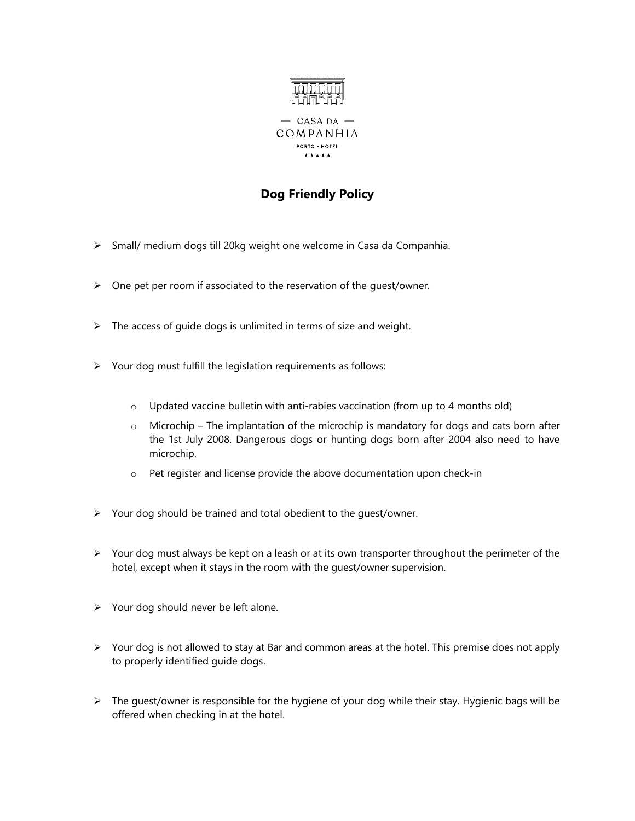

## **Dog Friendly Policy**

- ➢ Small/ medium dogs till 20kg weight one welcome in Casa da Companhia.
- ➢ One pet per room if associated to the reservation of the guest/owner.
- $\triangleright$  The access of guide dogs is unlimited in terms of size and weight.
- ➢ Your dog must fulfill the legislation requirements as follows:
	- $\circ$  Updated vaccine bulletin with anti-rabies vaccination (from up to 4 months old)
	- $\circ$  Microchip The implantation of the microchip is mandatory for dogs and cats born after the 1st July 2008. Dangerous dogs or hunting dogs born after 2004 also need to have microchip.
	- o Pet register and license provide the above documentation upon check-in
- ➢ Your dog should be trained and total obedient to the guest/owner.
- ➢ Your dog must always be kept on a leash or at its own transporter throughout the perimeter of the hotel, except when it stays in the room with the guest/owner supervision.
- ➢ Your dog should never be left alone.
- $\triangleright$  Your dog is not allowed to stay at Bar and common areas at the hotel. This premise does not apply to properly identified guide dogs.
- ➢ The guest/owner is responsible for the hygiene of your dog while their stay. Hygienic bags will be offered when checking in at the hotel.